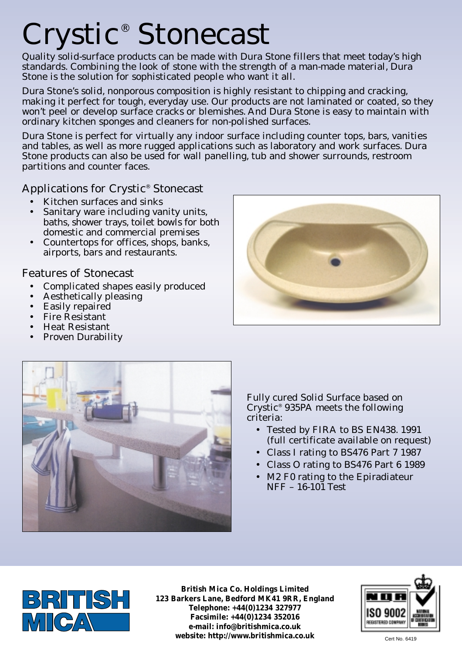## Crystic<sup>®</sup> Stonecast

Quality solid-surface products can be made with Dura Stone fillers that meet today's high standards. Combining the look of stone with the strength of a man-made material, Dura Stone is the solution for sophisticated people who want it all.

Dura Stone's solid, nonporous composition is highly resistant to chipping and cracking, making it perfect for tough, everyday use. Our products are not laminated or coated, so they won't peel or develop surface cracks or blemishes. And Dura Stone is easy to maintain with ordinary kitchen sponges and cleaners for non-polished surfaces.

Dura Stone is perfect for virtually any indoor surface including counter tops, bars, vanities and tables, as well as more rugged applications such as laboratory and work surfaces. Dura Stone products can also be used for wall panelling, tub and shower surrounds, restroom partitions and counter faces.

## Applications for Crystic® Stonecast

- Kitchen surfaces and sinks
- Sanitary ware including vanity units, baths, shower trays, toilet bowls for both domestic and commercial premises
- Countertops for offices, shops, banks, airports, bars and restaurants.

## Features of Stonecast

- Complicated shapes easily produced
- Aesthetically pleasing
- Easily repaired
- Fire Resistant
- Heat Resistant
- Proven Durability





Fully cured Solid Surface based on Crystic® 935PA meets the following criteria:

- Tested by FIRA to BS EN438. 1991 (full certificate available on request)
- Class I rating to BS476 Part 7 1987
- Class O rating to BS476 Part 6 1989
- M2 F0 rating to the Epiradiateur NFF – 16-101 Test



**British Mica Co. Holdings Limited 123 Barkers Lane, Bedford MK41 9RR, England Telephone: +44(0)1234 327977 Facsimile: +44(0)1234 352016 e-mail: info@britishmica.co.uk website: http://www.britishmica.co.uk** Cert No. 6419